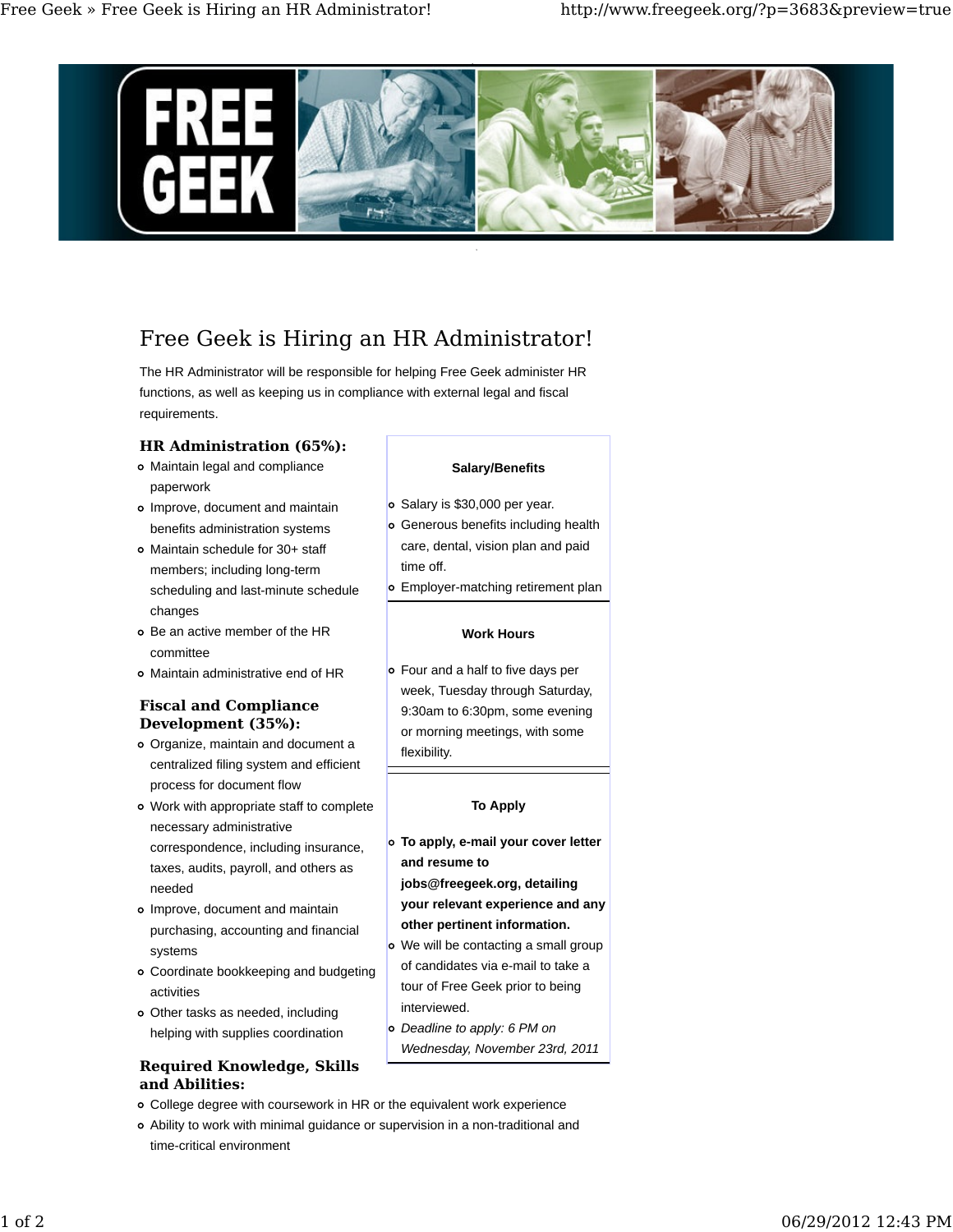

# Free Geek is Hiring an HR Administrator!

The HR Administrator will be responsible for helping Free Geek administer HR functions, as well as keeping us in compliance with external legal and fiscal requirements.

## **HR Administration (65%):**

- Maintain legal and compliance paperwork
- Improve, document and maintain benefits administration systems
- Maintain schedule for 30+ staff members; including long-term scheduling and last-minute schedule changes
- Be an active member of the HR committee
- Maintain administrative end of HR

## **Fiscal and Compliance Development (35%):**

- Organize, maintain and document a centralized filing system and efficient process for document flow
- Work with appropriate staff to complete necessary administrative correspondence, including insurance, taxes, audits, payroll, and others as needed
- Improve, document and maintain purchasing, accounting and financial systems
- Coordinate bookkeeping and budgeting activities
- Other tasks as needed, including helping with supplies coordination

# **Required Knowledge, Skills and Abilities:**

- College degree with coursework in HR or the equivalent work experience
- Ability to work with minimal guidance or supervision in a non-traditional and time-critical environment

#### **Salary/Benefits**

- o Salary is \$30,000 per year.
- Generous benefits including health care, dental, vision plan and paid time off.
- Employer-matching retirement plan

## **Work Hours**

Four and a half to five days per week, Tuesday through Saturday, 9:30am to 6:30pm, some evening or morning meetings, with some flexibility.

## **To Apply**

- **To apply, e-mail your cover letter and resume to jobs@freegeek.org, detailing your relevant experience and any**
- **other pertinent information.**
- We will be contacting a small group of candidates via e-mail to take a tour of Free Geek prior to being interviewed.
- *Deadline to apply: 6 PM on Wednesday, November 23rd, 2011*